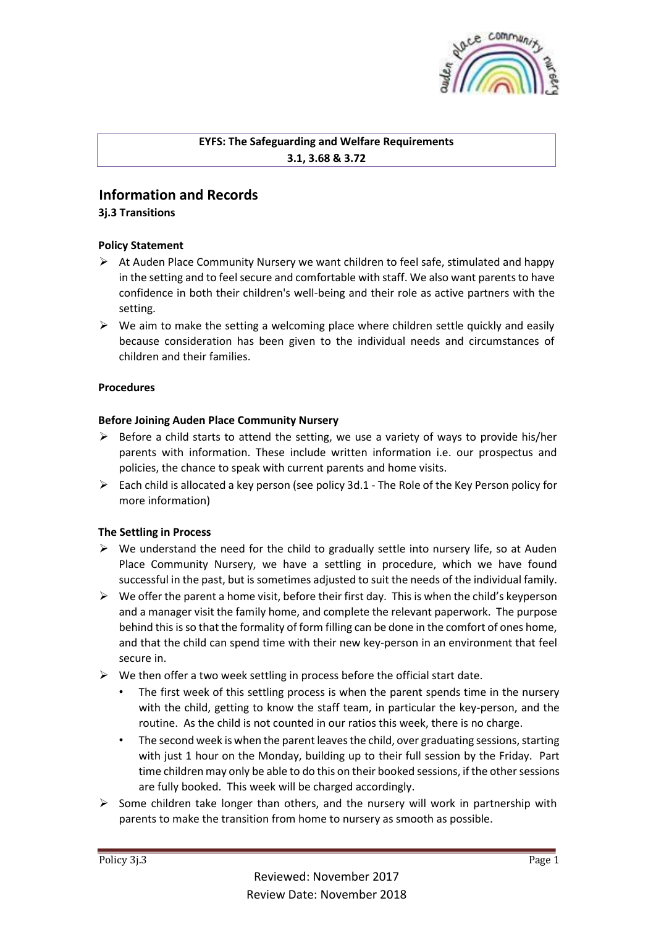

## **EYFS: The Safeguarding and Welfare Requirements 3.1, 3.68 & 3.72**

# **Information and Records**

## **3j.3 Transitions**

## **Policy Statement**

- $\triangleright$  At Auden Place Community Nursery we want children to feel safe, stimulated and happy in the setting and to feel secure and comfortable with staff. We also want parents to have confidence in both their children's well-being and their role as active partners with the setting.
- $\triangleright$  We aim to make the setting a welcoming place where children settle quickly and easily because consideration has been given to the individual needs and circumstances of children and their families.

## **Procedures**

## **Before Joining Auden Place Community Nursery**

- $\triangleright$  Before a child starts to attend the setting, we use a variety of ways to provide his/her parents with information. These include written information i.e. our prospectus and policies, the chance to speak with current parents and home visits.
- $\triangleright$  Each child is allocated a key person (see policy 3d.1 The Role of the Key Person policy for more information)

## **The Settling in Process**

- $\triangleright$  We understand the need for the child to gradually settle into nursery life, so at Auden Place Community Nursery, we have a settling in procedure, which we have found successful in the past, but is sometimes adjusted to suit the needs of the individual family.
- $\triangleright$  We offer the parent a home visit, before their first day. This is when the child's keyperson and a manager visit the family home, and complete the relevant paperwork. The purpose behind this is so that the formality of form filling can be done in the comfort of ones home, and that the child can spend time with their new key-person in an environment that feel secure in.
- $\triangleright$  We then offer a two week settling in process before the official start date.
	- The first week of this settling process is when the parent spends time in the nursery with the child, getting to know the staff team, in particular the key-person, and the routine. As the child is not counted in our ratios this week, there is no charge.
	- The second week is when the parent leaves the child, over graduating sessions, starting with just 1 hour on the Monday, building up to their full session by the Friday. Part time children may only be able to do this on their booked sessions, if the other sessions are fully booked. This week will be charged accordingly.
- $\triangleright$  Some children take longer than others, and the nursery will work in partnership with parents to make the transition from home to nursery as smooth as possible.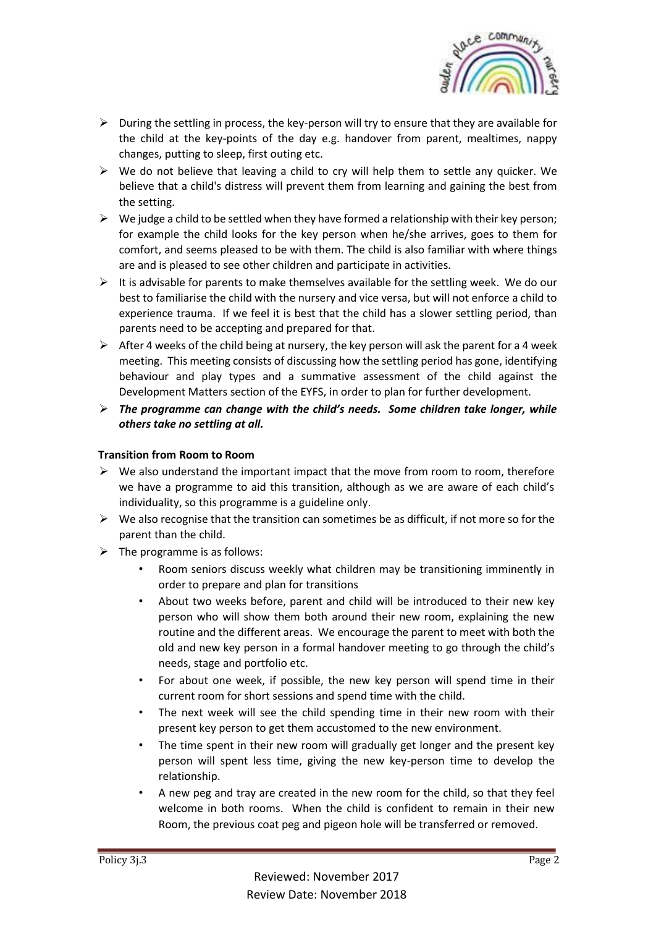

- $\triangleright$  During the settling in process, the key-person will try to ensure that they are available for the child at the key-points of the day e.g. handover from parent, mealtimes, nappy changes, putting to sleep, first outing etc.
- $\triangleright$  We do not believe that leaving a child to cry will help them to settle any quicker. We believe that a child's distress will prevent them from learning and gaining the best from the setting.
- $\triangleright$  We judge a child to be settled when they have formed a relationship with their key person; for example the child looks for the key person when he/she arrives, goes to them for comfort, and seems pleased to be with them. The child is also familiar with where things are and is pleased to see other children and participate in activities.
- $\triangleright$  It is advisable for parents to make themselves available for the settling week. We do our best to familiarise the child with the nursery and vice versa, but will not enforce a child to experience trauma. If we feel it is best that the child has a slower settling period, than parents need to be accepting and prepared for that.
- $\triangleright$  After 4 weeks of the child being at nursery, the key person will ask the parent for a 4 week meeting. This meeting consists of discussing how the settling period has gone, identifying behaviour and play types and a summative assessment of the child against the Development Matters section of the EYFS, in order to plan for further development.
- ➢ *The programme can change with the child's needs. Some children take longer, while others take no settling at all.*

## **Transition from Room to Room**

- $\triangleright$  We also understand the important impact that the move from room to room, therefore we have a programme to aid this transition, although as we are aware of each child's individuality, so this programme is a guideline only.
- $\triangleright$  We also recognise that the transition can sometimes be as difficult, if not more so for the parent than the child.
- $\triangleright$  The programme is as follows:
	- Room seniors discuss weekly what children may be transitioning imminently in order to prepare and plan for transitions
	- About two weeks before, parent and child will be introduced to their new key person who will show them both around their new room, explaining the new routine and the different areas. We encourage the parent to meet with both the old and new key person in a formal handover meeting to go through the child's needs, stage and portfolio etc.
	- For about one week, if possible, the new key person will spend time in their current room for short sessions and spend time with the child.
	- The next week will see the child spending time in their new room with their present key person to get them accustomed to the new environment.
	- The time spent in their new room will gradually get longer and the present key person will spent less time, giving the new key-person time to develop the relationship.
	- A new peg and tray are created in the new room for the child, so that they feel welcome in both rooms. When the child is confident to remain in their new Room, the previous coat peg and pigeon hole will be transferred or removed.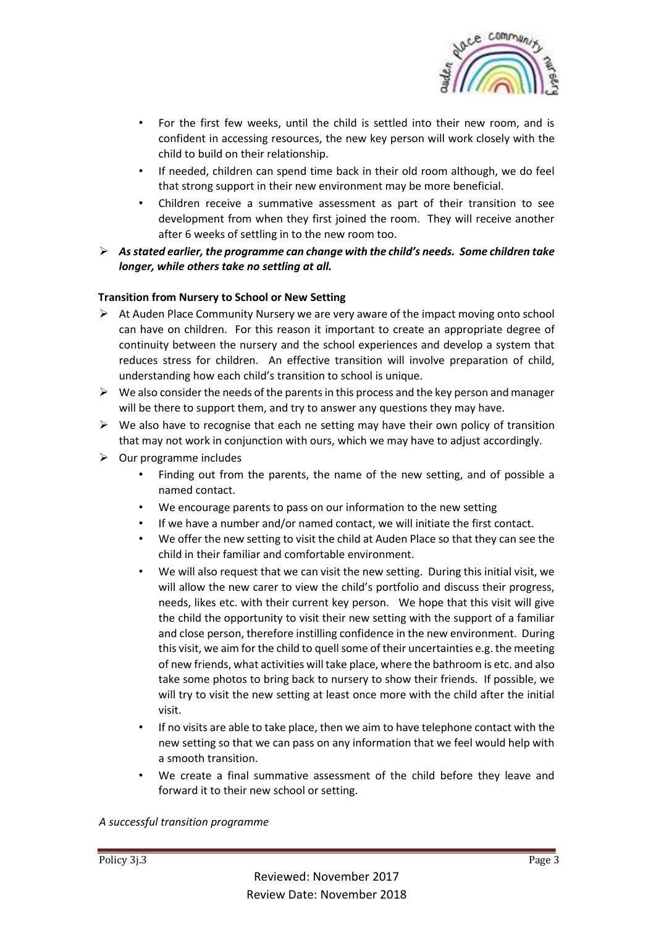

- For the first few weeks, until the child is settled into their new room, and is confident in accessing resources, the new key person will work closely with the child to build on their relationship.
- If needed, children can spend time back in their old room although, we do feel that strong support in their new environment may be more beneficial.
- Children receive a summative assessment as part of their transition to see development from when they first joined the room. They will receive another after 6 weeks of settling in to the new room too.
- ➢ *As stated earlier, the programme can change with the child's needs. Some children take longer, while others take no settling at all.*

## **Transition from Nursery to School or New Setting**

- $\triangleright$  At Auden Place Community Nursery we are very aware of the impact moving onto school can have on children. For this reason it important to create an appropriate degree of continuity between the nursery and the school experiences and develop a system that reduces stress for children. An effective transition will involve preparation of child, understanding how each child's transition to school is unique.
- $\triangleright$  We also consider the needs of the parents in this process and the key person and manager will be there to support them, and try to answer any questions they may have.
- $\triangleright$  We also have to recognise that each ne setting may have their own policy of transition that may not work in conjunction with ours, which we may have to adjust accordingly.
- $\triangleright$  Our programme includes
	- Finding out from the parents, the name of the new setting, and of possible a named contact.
	- We encourage parents to pass on our information to the new setting
	- If we have a number and/or named contact, we will initiate the first contact.
	- We offer the new setting to visit the child at Auden Place so that they can see the child in their familiar and comfortable environment.
	- We will also request that we can visit the new setting. During this initial visit, we will allow the new carer to view the child's portfolio and discuss their progress, needs, likes etc. with their current key person. We hope that this visit will give the child the opportunity to visit their new setting with the support of a familiar and close person, therefore instilling confidence in the new environment. During this visit, we aim for the child to quell some of their uncertainties e.g. the meeting of new friends, what activities will take place, where the bathroom is etc. and also take some photos to bring back to nursery to show their friends. If possible, we will try to visit the new setting at least once more with the child after the initial visit.
	- If no visits are able to take place, then we aim to have telephone contact with the new setting so that we can pass on any information that we feel would help with a smooth transition.
	- We create a final summative assessment of the child before they leave and forward it to their new school or setting.

#### *A successful transition programme*